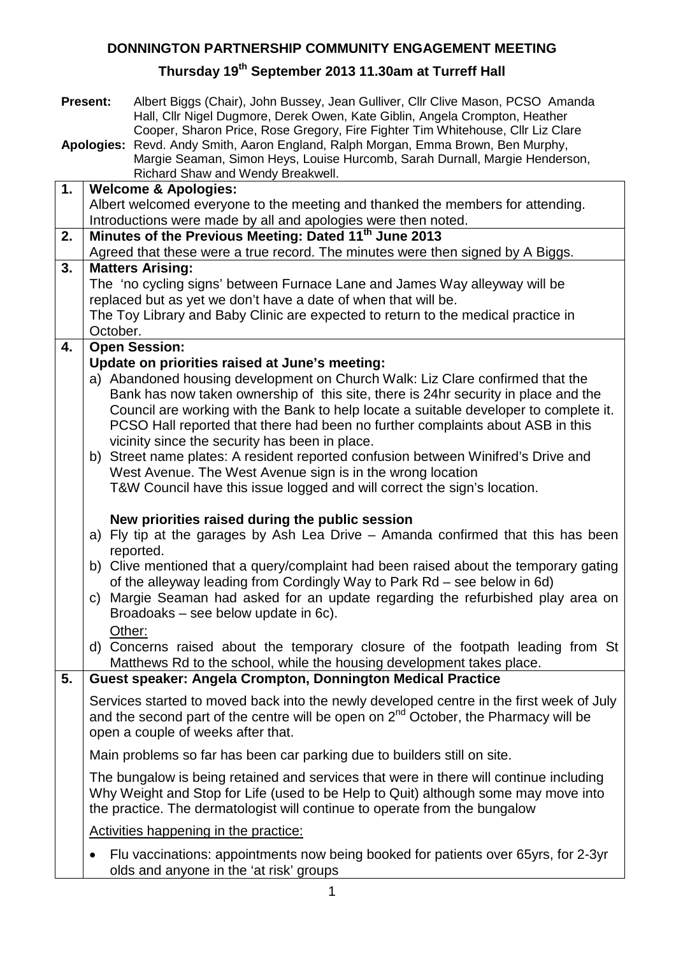## **DONNINGTON PARTNERSHIP COMMUNITY ENGAGEMENT MEETING**

## **Thursday 19th September 2013 11.30am at Turreff Hall**

|    | <b>Present:</b> | Albert Biggs (Chair), John Bussey, Jean Gulliver, Cllr Clive Mason, PCSO Amanda<br>Hall, Cllr Nigel Dugmore, Derek Owen, Kate Giblin, Angela Crompton, Heather |
|----|-----------------|----------------------------------------------------------------------------------------------------------------------------------------------------------------|
|    |                 | Cooper, Sharon Price, Rose Gregory, Fire Fighter Tim Whitehouse, Cllr Liz Clare                                                                                |
|    | Apologies:      | Revd. Andy Smith, Aaron England, Ralph Morgan, Emma Brown, Ben Murphy,<br>Margie Seaman, Simon Heys, Louise Hurcomb, Sarah Durnall, Margie Henderson,          |
|    |                 | Richard Shaw and Wendy Breakwell.                                                                                                                              |
| 1. |                 | <b>Welcome &amp; Apologies:</b>                                                                                                                                |
|    |                 | Albert welcomed everyone to the meeting and thanked the members for attending.                                                                                 |
| 2. |                 | Introductions were made by all and apologies were then noted.<br>Minutes of the Previous Meeting: Dated 11 <sup>th</sup> June 2013                             |
|    |                 | Agreed that these were a true record. The minutes were then signed by A Biggs.                                                                                 |
| 3. |                 | <b>Matters Arising:</b>                                                                                                                                        |
|    |                 | The 'no cycling signs' between Furnace Lane and James Way alleyway will be                                                                                     |
|    |                 | replaced but as yet we don't have a date of when that will be.                                                                                                 |
|    |                 | The Toy Library and Baby Clinic are expected to return to the medical practice in                                                                              |
| 4. | October.        | <b>Open Session:</b>                                                                                                                                           |
|    |                 | Update on priorities raised at June's meeting:                                                                                                                 |
|    |                 | a) Abandoned housing development on Church Walk: Liz Clare confirmed that the                                                                                  |
|    |                 | Bank has now taken ownership of this site, there is 24hr security in place and the                                                                             |
|    |                 | Council are working with the Bank to help locate a suitable developer to complete it.                                                                          |
|    |                 | PCSO Hall reported that there had been no further complaints about ASB in this                                                                                 |
|    |                 | vicinity since the security has been in place.                                                                                                                 |
|    |                 | b) Street name plates: A resident reported confusion between Winifred's Drive and                                                                              |
|    |                 | West Avenue. The West Avenue sign is in the wrong location<br>T&W Council have this issue logged and will correct the sign's location.                         |
|    |                 |                                                                                                                                                                |
|    |                 | New priorities raised during the public session                                                                                                                |
|    |                 | a) Fly tip at the garages by Ash Lea Drive - Amanda confirmed that this has been                                                                               |
|    |                 | reported.                                                                                                                                                      |
|    |                 | b) Clive mentioned that a query/complaint had been raised about the temporary gating                                                                           |
|    |                 | of the alleyway leading from Cordingly Way to Park Rd – see below in 6d)<br>c) Margie Seaman had asked for an update regarding the refurbished play area on    |
|    |                 | Broadoaks – see below update in 6c).                                                                                                                           |
|    |                 | Other:                                                                                                                                                         |
|    |                 | d) Concerns raised about the temporary closure of the footpath leading from St                                                                                 |
|    |                 | Matthews Rd to the school, while the housing development takes place.                                                                                          |
| 5. |                 | Guest speaker: Angela Crompton, Donnington Medical Practice                                                                                                    |
|    |                 | Services started to moved back into the newly developed centre in the first week of July                                                                       |
|    |                 | and the second part of the centre will be open on 2 <sup>nd</sup> October, the Pharmacy will be                                                                |
|    |                 | open a couple of weeks after that.                                                                                                                             |
|    |                 | Main problems so far has been car parking due to builders still on site.                                                                                       |
|    |                 | The bungalow is being retained and services that were in there will continue including                                                                         |
|    |                 | Why Weight and Stop for Life (used to be Help to Quit) although some may move into                                                                             |
|    |                 | the practice. The dermatologist will continue to operate from the bungalow                                                                                     |
|    |                 | Activities happening in the practice:                                                                                                                          |
|    |                 | Flu vaccinations: appointments now being booked for patients over 65yrs, for 2-3yr                                                                             |
|    |                 | olds and anyone in the 'at risk' groups                                                                                                                        |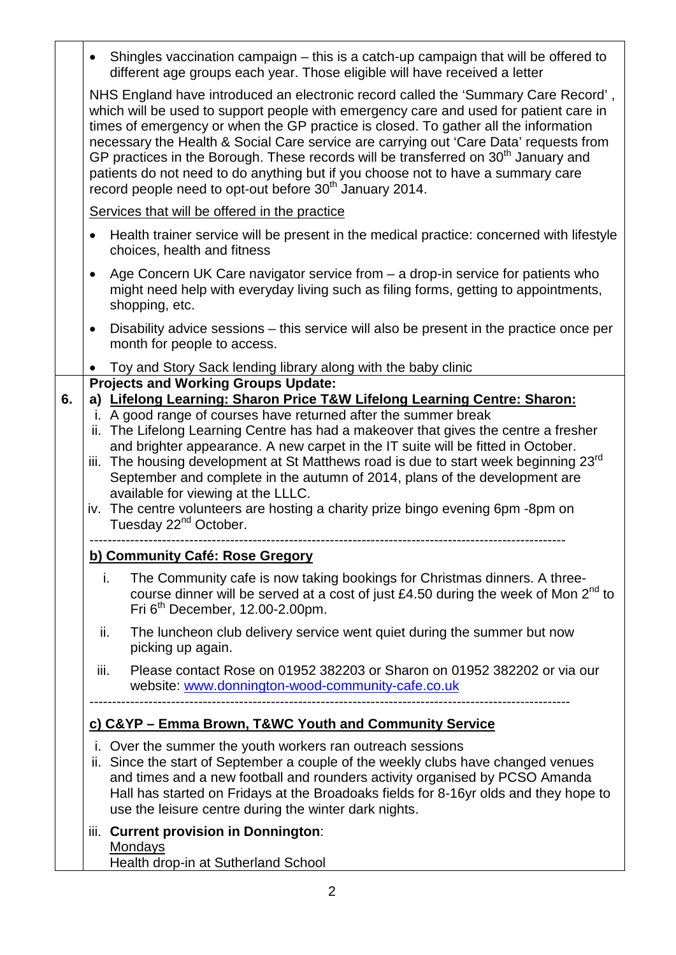• Shingles vaccination campaign – this is a catch-up campaign that will be offered to different age groups each year. Those eligible will have received a letter NHS England have introduced an electronic record called the 'Summary Care Record' , which will be used to support people with emergency care and used for patient care in times of emergency or when the GP practice is closed. To gather all the information necessary the Health & Social Care service are carrying out 'Care Data' requests from GP practices in the Borough. These records will be transferred on 30<sup>th</sup> January and patients do not need to do anything but if you choose not to have a summary care record people need to opt-out before  $30<sup>th</sup>$  January 2014. • Health trainer service will be present in the medical practice: concerned with lifestyle choices, health and fitness Services that will be offered in the practice • Age Concern UK Care navigator service from – a drop-in service for patients who might need help with everyday living such as filing forms, getting to appointments, shopping, etc. • Disability advice sessions – this service will also be present in the practice once per month for people to access. • Toy and Story Sack lending library along with the baby clinic **6. Projects and Working Groups Update: a) Lifelong Learning: Sharon Price T&W Lifelong Learning Centre: Sharon:** i. A good range of courses have returned after the summer break ii. The Lifelong Learning Centre has had a makeover that gives the centre a fresher and brighter appearance. A new carpet in the IT suite will be fitted in October. iii. The housing development at St Matthews road is due to start week beginning 23rd September and complete in the autumn of 2014, plans of the development are available for viewing at the LLLC. iv. The centre volunteers are hosting a charity prize bingo evening 6pm -8pm on Tuesday 22<sup>nd</sup> October. -------------------------------------------------------------------------------------------------------- i. The Community cafe is now taking bookings for Christmas dinners. A threecourse dinner will be served at a cost of just £4.50 during the week of Mon  $2^{nd}$  to Fri  $6<sup>th</sup>$  December, 12.00-2.00pm. **b) Community Café: Rose Gregory** ii. The luncheon club delivery service went quiet during the summer but now picking up again. iii. Please contact Rose on 01952 382203 or Sharon on 01952 382202 or via our website: [www.donnington-wood-community-cafe.co.uk](http://www.donnington-wood-community-cafe.co.uk/) --------------------------------------------------------------------------------------------------------- i. Over the summer the youth workers ran outreach sessions **c) C&YP – Emma Brown, T&WC Youth and Community Service** ii. Since the start of September a couple of the weekly clubs have changed venues and times and a new football and rounders activity organised by PCSO Amanda Hall has started on Fridays at the Broadoaks fields for 8-16yr olds and they hope to use the leisure centre during the winter dark nights. iii. **Current provision in Donnington**: Health drop-in at Sutherland School Mondays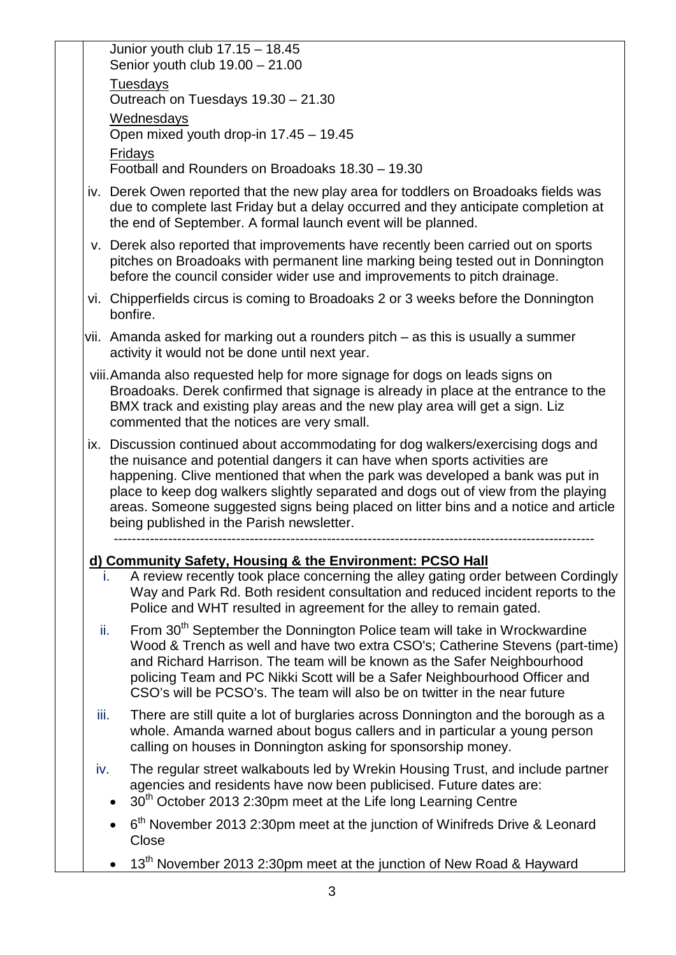|      | Junior youth club 17.15 - 18.45<br>Senior youth club $19.00 - 21.00$                                                                                                                                                                                                                                                                                                                                                                                                     |
|------|--------------------------------------------------------------------------------------------------------------------------------------------------------------------------------------------------------------------------------------------------------------------------------------------------------------------------------------------------------------------------------------------------------------------------------------------------------------------------|
|      | <b>Tuesdays</b><br>Outreach on Tuesdays 19.30 - 21.30                                                                                                                                                                                                                                                                                                                                                                                                                    |
|      | <b>Wednesdays</b>                                                                                                                                                                                                                                                                                                                                                                                                                                                        |
|      | Open mixed youth drop-in 17.45 - 19.45                                                                                                                                                                                                                                                                                                                                                                                                                                   |
|      | Fridays<br>Football and Rounders on Broadoaks 18.30 - 19.30                                                                                                                                                                                                                                                                                                                                                                                                              |
|      | iv. Derek Owen reported that the new play area for toddlers on Broadoaks fields was<br>due to complete last Friday but a delay occurred and they anticipate completion at<br>the end of September. A formal launch event will be planned.                                                                                                                                                                                                                                |
|      | v. Derek also reported that improvements have recently been carried out on sports<br>pitches on Broadoaks with permanent line marking being tested out in Donnington<br>before the council consider wider use and improvements to pitch drainage.                                                                                                                                                                                                                        |
|      | vi. Chipperfields circus is coming to Broadoaks 2 or 3 weeks before the Donnington<br>bonfire.                                                                                                                                                                                                                                                                                                                                                                           |
|      | vii. Amanda asked for marking out a rounders pitch – as this is usually a summer<br>activity it would not be done until next year.                                                                                                                                                                                                                                                                                                                                       |
|      | viii. Amanda also requested help for more signage for dogs on leads signs on<br>Broadoaks. Derek confirmed that signage is already in place at the entrance to the<br>BMX track and existing play areas and the new play area will get a sign. Liz<br>commented that the notices are very small.                                                                                                                                                                         |
|      | ix. Discussion continued about accommodating for dog walkers/exercising dogs and<br>the nuisance and potential dangers it can have when sports activities are<br>happening. Clive mentioned that when the park was developed a bank was put in<br>place to keep dog walkers slightly separated and dogs out of view from the playing<br>areas. Someone suggested signs being placed on litter bins and a notice and article<br>being published in the Parish newsletter. |
|      | d) Community Safety, Housing & the Environment: PCSO Hall                                                                                                                                                                                                                                                                                                                                                                                                                |
|      | A review recently took place concerning the alley gating order between Cordingly<br>Ť.<br>Way and Park Rd. Both resident consultation and reduced incident reports to the<br>Police and WHT resulted in agreement for the alley to remain gated.                                                                                                                                                                                                                         |
| ii.  | From 30 <sup>th</sup> September the Donnington Police team will take in Wrockwardine<br>Wood & Trench as well and have two extra CSO's; Catherine Stevens (part-time)<br>and Richard Harrison. The team will be known as the Safer Neighbourhood<br>policing Team and PC Nikki Scott will be a Safer Neighbourhood Officer and<br>CSO's will be PCSO's. The team will also be on twitter in the near future                                                              |
| iii. | There are still quite a lot of burglaries across Donnington and the borough as a<br>whole. Amanda warned about bogus callers and in particular a young person<br>calling on houses in Donnington asking for sponsorship money.                                                                                                                                                                                                                                           |
| iv.  | The regular street walkabouts led by Wrekin Housing Trust, and include partner<br>agencies and residents have now been publicised. Future dates are:<br>30 <sup>th</sup> October 2013 2:30pm meet at the Life long Learning Centre                                                                                                                                                                                                                                       |
|      | 6 <sup>th</sup> November 2013 2:30pm meet at the junction of Winifreds Drive & Leonard<br>Close                                                                                                                                                                                                                                                                                                                                                                          |
|      | 13 <sup>th</sup> November 2013 2:30pm meet at the junction of New Road & Hayward                                                                                                                                                                                                                                                                                                                                                                                         |